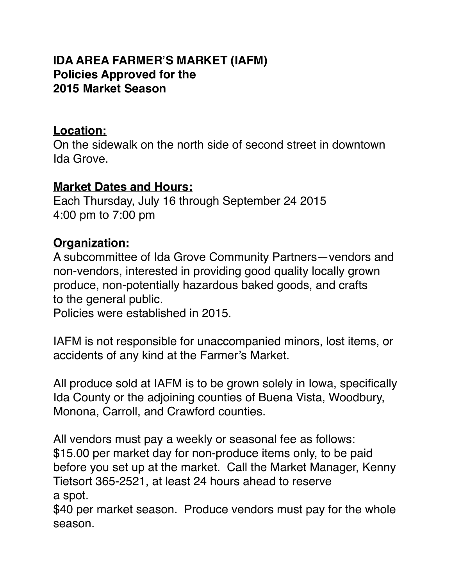#### **IDA AREA FARMER'S MARKET (IAFM) Policies Approved for the 2015 Market Season**

#### **Location:**

On the sidewalk on the north side of second street in downtown Ida Grove.

#### **Market Dates and Hours:**

Each Thursday, July 16 through September 24 2015 4:00 pm to 7:00 pm

### **Organization:**

A subcommittee of Ida Grove Community Partners—vendors and non-vendors, interested in providing good quality locally grown produce, non-potentially hazardous baked goods, and crafts to the general public.

Policies were established in 2015.

IAFM is not responsible for unaccompanied minors, lost items, or accidents of any kind at the Farmer's Market.

All produce sold at IAFM is to be grown solely in Iowa, specifically Ida County or the adjoining counties of Buena Vista, Woodbury, Monona, Carroll, and Crawford counties.

All vendors must pay a weekly or seasonal fee as follows: \$15.00 per market day for non-produce items only, to be paid before you set up at the market. Call the Market Manager, Kenny Tietsort 365-2521, at least 24 hours ahead to reserve a spot.

\$40 per market season. Produce vendors must pay for the whole season.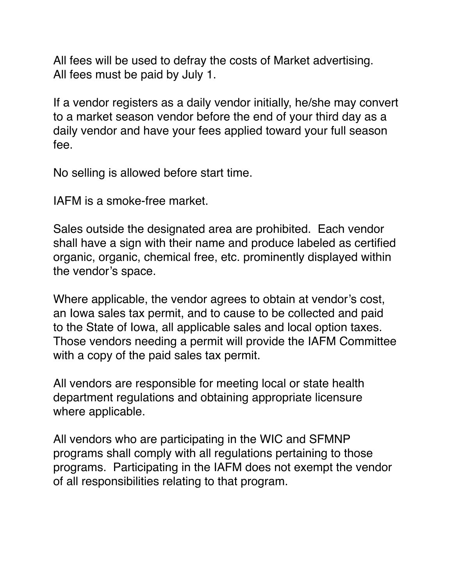All fees will be used to defray the costs of Market advertising. All fees must be paid by July 1.

If a vendor registers as a daily vendor initially, he/she may convert to a market season vendor before the end of your third day as a daily vendor and have your fees applied toward your full season fee.

No selling is allowed before start time.

IAFM is a smoke-free market.

Sales outside the designated area are prohibited. Each vendor shall have a sign with their name and produce labeled as certified organic, organic, chemical free, etc. prominently displayed within the vendor's space.

Where applicable, the vendor agrees to obtain at vendor's cost, an Iowa sales tax permit, and to cause to be collected and paid to the State of Iowa, all applicable sales and local option taxes. Those vendors needing a permit will provide the IAFM Committee with a copy of the paid sales tax permit.

All vendors are responsible for meeting local or state health department regulations and obtaining appropriate licensure where applicable.

All vendors who are participating in the WIC and SFMNP programs shall comply with all regulations pertaining to those programs. Participating in the IAFM does not exempt the vendor of all responsibilities relating to that program.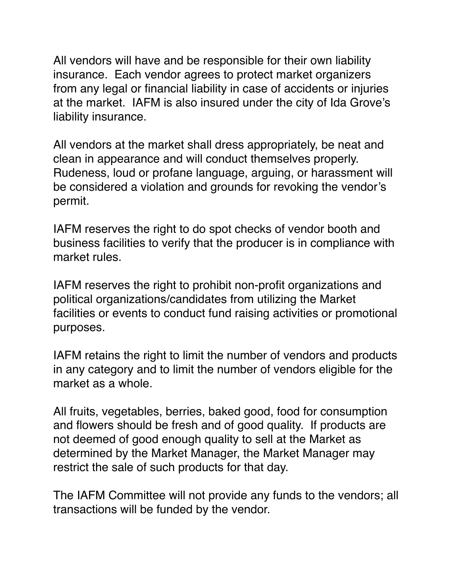All vendors will have and be responsible for their own liability insurance. Each vendor agrees to protect market organizers from any legal or financial liability in case of accidents or injuries at the market. IAFM is also insured under the city of Ida Grove's liability insurance.

All vendors at the market shall dress appropriately, be neat and clean in appearance and will conduct themselves properly. Rudeness, loud or profane language, arguing, or harassment will be considered a violation and grounds for revoking the vendor's permit.

IAFM reserves the right to do spot checks of vendor booth and business facilities to verify that the producer is in compliance with market rules.

IAFM reserves the right to prohibit non-profit organizations and political organizations/candidates from utilizing the Market facilities or events to conduct fund raising activities or promotional purposes.

IAFM retains the right to limit the number of vendors and products in any category and to limit the number of vendors eligible for the market as a whole.

All fruits, vegetables, berries, baked good, food for consumption and flowers should be fresh and of good quality. If products are not deemed of good enough quality to sell at the Market as determined by the Market Manager, the Market Manager may restrict the sale of such products for that day.

The IAFM Committee will not provide any funds to the vendors; all transactions will be funded by the vendor.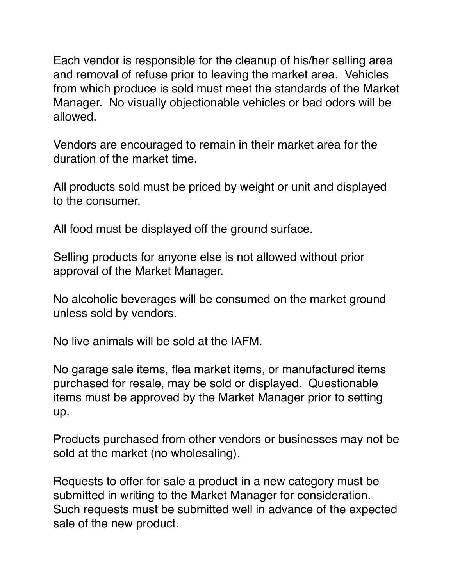Each vendor is responsible for the cleanup of his/her selling area and removal of refuse prior to leaving the market area. Vehicles from which produce is sold must meet the standards of the Market Manager. No visually objectionable vehicles or bad odors will be allowed.

Vendors are encouraged to remain in their market area for the duration of the market time.

All products sold must be priced by weight or unit and displayed to the consumer.

All food must be displayed off the ground surface.

Selling products for anyone else is not allowed without prior approval of the Market Manager.

No alcoholic beverages will be consumed on the market ground unless sold by vendors.

No live animals will be sold at the IAFM.

No garage sale items, flea market items, or manufactured items purchased for resale, may be sold or displayed. Questionable items must be approved by the Market Manager prior to setting up.

Products purchased from other vendors or businesses may not be sold at the market (no wholesaling).

Requests to offer for sale a product in a new category must be submitted in writing to the Market Manager for consideration. Such requests must be submitted well in advance of the expected sale of the new product.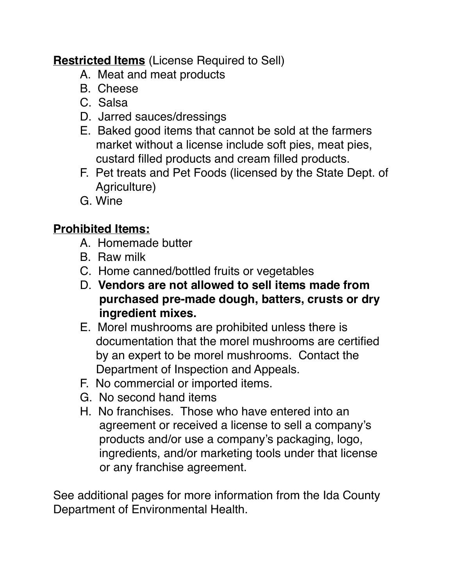## **Restricted Items** (License Required to Sell)

- A. Meat and meat products
- B. Cheese
- C. Salsa
- D. Jarred sauces/dressings
- E. Baked good items that cannot be sold at the farmers market without a license include soft pies, meat pies, custard filled products and cream filled products.
- F. Pet treats and Pet Foods (licensed by the State Dept. of Agriculture)
- G. Wine

# **Prohibited Items:**

- A. Homemade butter
- B. Raw milk
- C. Home canned/bottled fruits or vegetables
- D. **Vendors are not allowed to sell items made from purchased pre-made dough, batters, crusts or dry ingredient mixes.**
- E. Morel mushrooms are prohibited unless there is documentation that the morel mushrooms are certified by an expert to be morel mushrooms. Contact the Department of Inspection and Appeals.
- F. No commercial or imported items.
- G. No second hand items
- H. No franchises. Those who have entered into an agreement or received a license to sell a company's products and/or use a company's packaging, logo, ingredients, and/or marketing tools under that license or any franchise agreement.

See additional pages for more information from the Ida County Department of Environmental Health.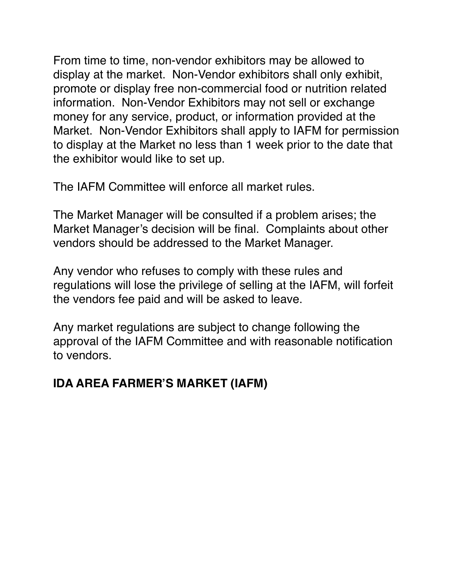From time to time, non-vendor exhibitors may be allowed to display at the market. Non-Vendor exhibitors shall only exhibit, promote or display free non-commercial food or nutrition related information. Non-Vendor Exhibitors may not sell or exchange money for any service, product, or information provided at the Market. Non-Vendor Exhibitors shall apply to IAFM for permission to display at the Market no less than 1 week prior to the date that the exhibitor would like to set up.

The IAFM Committee will enforce all market rules.

The Market Manager will be consulted if a problem arises; the Market Manager's decision will be final. Complaints about other vendors should be addressed to the Market Manager.

Any vendor who refuses to comply with these rules and regulations will lose the privilege of selling at the IAFM, will forfeit the vendors fee paid and will be asked to leave.

Any market regulations are subject to change following the approval of the IAFM Committee and with reasonable notification to vendors.

## **IDA AREA FARMER'S MARKET (IAFM)**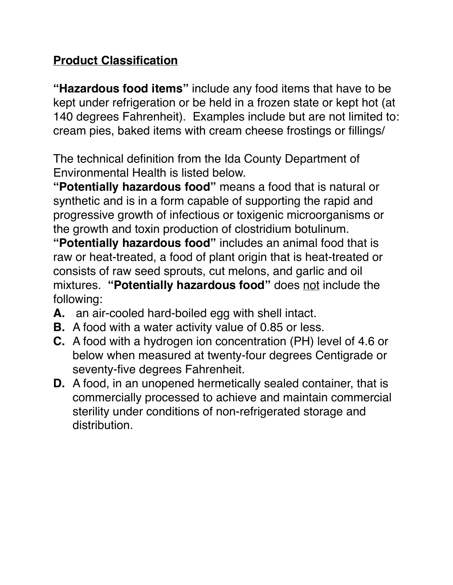## **Product Classification**

**"Hazardous food items"** include any food items that have to be kept under refrigeration or be held in a frozen state or kept hot (at 140 degrees Fahrenheit). Examples include but are not limited to: cream pies, baked items with cream cheese frostings or fillings/

The technical definition from the Ida County Department of Environmental Health is listed below.

**"Potentially hazardous food"** means a food that is natural or synthetic and is in a form capable of supporting the rapid and progressive growth of infectious or toxigenic microorganisms or the growth and toxin production of clostridium botulinum.

**"Potentially hazardous food"** includes an animal food that is raw or heat-treated, a food of plant origin that is heat-treated or consists of raw seed sprouts, cut melons, and garlic and oil mixtures. **"Potentially hazardous food"** does not include the following:

- **A.** an air-cooled hard-boiled egg with shell intact.
- **B.** A food with a water activity value of 0.85 or less.
- **C.** A food with a hydrogen ion concentration (PH) level of 4.6 or below when measured at twenty-four degrees Centigrade or seventy-five degrees Fahrenheit.
- **D.** A food, in an unopened hermetically sealed container, that is commercially processed to achieve and maintain commercial sterility under conditions of non-refrigerated storage and distribution.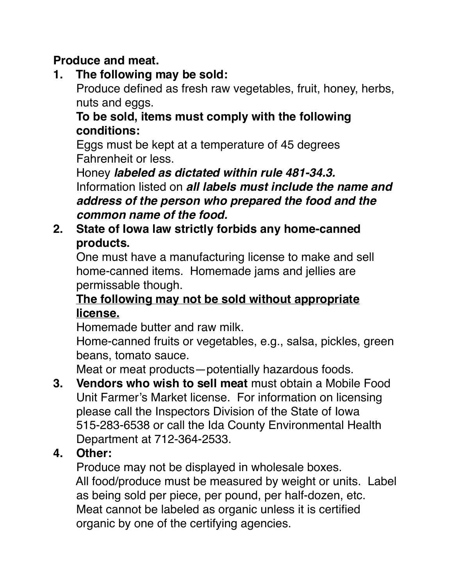## **Produce and meat.**

**1. The following may be sold:**

Produce defined as fresh raw vegetables, fruit, honey, herbs, nuts and eggs.

#### **To be sold, items must comply with the following conditions:**

 Eggs must be kept at a temperature of 45 degrees Fahrenheit or less.

 Honey *labeled as dictated within rule 481-34.3.* Information listed on *all labels must include the name and address of the person who prepared the food and the common name of the food.*

## **2. State of Iowa law strictly forbids any home-canned products.**

 One must have a manufacturing license to make and sell home-canned items. Homemade jams and jellies are permissable though.

### **The following may not be sold without appropriate license.**

Homemade butter and raw milk.

 Home-canned fruits or vegetables, e.g., salsa, pickles, green beans, tomato sauce.

Meat or meat products—potentially hazardous foods.

**3. Vendors who wish to sell meat** must obtain a Mobile Food Unit Farmer's Market license. For information on licensing please call the Inspectors Division of the State of Iowa 515-283-6538 or call the Ida County Environmental Health Department at 712-364-2533.

# **4. Other:**

 Produce may not be displayed in wholesale boxes. All food/produce must be measured by weight or units. Label as being sold per piece, per pound, per half-dozen, etc. Meat cannot be labeled as organic unless it is certified organic by one of the certifying agencies.